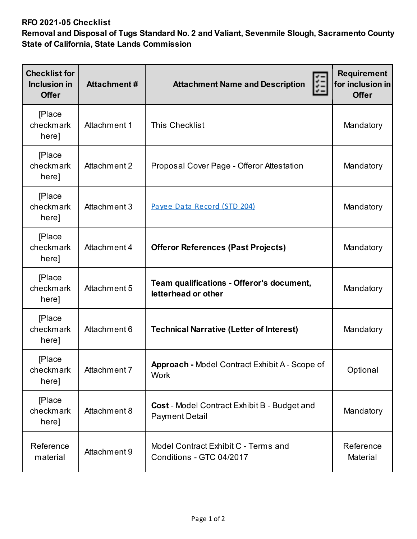## **RFO 2021-05 Checklist**

**Removal and Disposal of Tugs Standard No. 2 and Valiant, Sevenmile Slough, Sacramento County State of California, State Lands Commission** 

| <b>Checklist for</b><br>Inclusion in<br><b>Offer</b> | <b>Attachment#</b> | 距<br><b>Attachment Name and Description</b>                           | Requirement<br>for inclusion in<br><b>Offer</b> |
|------------------------------------------------------|--------------------|-----------------------------------------------------------------------|-------------------------------------------------|
| <b>Place</b><br>checkmark<br>here]                   | Attachment 1       | <b>This Checklist</b>                                                 | Mandatory                                       |
| <b>Place</b><br>checkmark<br>here]                   | Attachment 2       | Proposal Cover Page - Offeror Attestation                             | Mandatory                                       |
| <b>Place</b><br>checkmark<br>here]                   | Attachment 3       | Payee Data Record (STD 204)                                           | Mandatory                                       |
| <b>[Place</b><br>checkmark<br>here]                  | Attachment 4       | <b>Offeror References (Past Projects)</b>                             | Mandatory                                       |
| <b>[Place</b><br>checkmark<br>here]                  | Attachment 5       | Team qualifications - Offeror's document,<br>letterhead or other      | Mandatory                                       |
| <b>Place</b><br>checkmark<br>here]                   | Attachment 6       | <b>Technical Narrative (Letter of Interest)</b>                       | Mandatory                                       |
| <b>Place</b><br>checkmark<br>here]                   | Attachment 7       | <b>Approach - Model Contract Exhibit A - Scope of</b><br><b>Work</b>  | Optional                                        |
| <b>Place</b><br>checkmark<br>here]                   | Attachment 8       | Cost - Model Contract Exhibit B - Budget and<br><b>Payment Detail</b> | Mandatory                                       |
| Reference<br>material                                | Attachment 9       | Model Contract Exhibit C - Terms and<br>Conditions - GTC 04/2017      | Reference<br>Material                           |